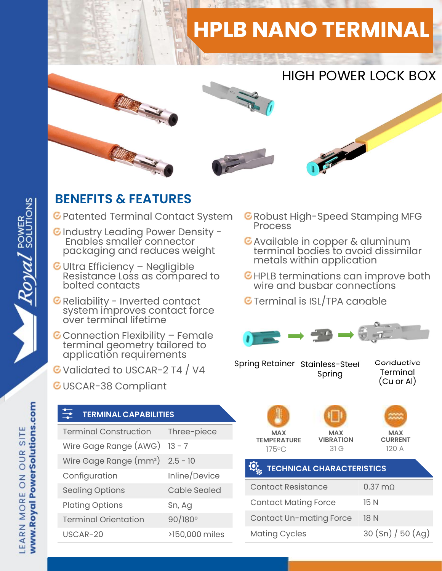## HPLB NANO TERMINAL



## BENEFITS & FEATURES

- C Patented Terminal Contact System C Robust I
- C Industry Leading Power Density -<br>Enables smaller connector C Available in copper & aluminum Enables smaller connector packaging and reduces weight
- **ENEFITS & FEATURES**<br>
Patented Terminal Contact System ERIC<br>
Industry Leading Power Density Resistance Ionnector<br>
Packaging and reduces weight<br>
Ultra Efficiency Negligible<br>
Resistance Loss as compared to EHIC<br>
Bolted c Reliability Leading Power Density -<br>Finables smaller connector<br>packaging and reduces weight<br>Ultra Efficiency – Negligible<br>Resistance Loss as compared to<br>bolted contacts<br>Reliability - Inverted contact<br>system improves contac
- 
- Prockaging and reduced weight<br>
Ultra Efficiency Negligible<br>
Resistance Loss as compared to<br>
Reliability Inverted contact<br>
Reliability Inverted contact<br>
Serminal Sexual Sexual Sexual Sexual Sexual Sexual Sexual Sexual
- G Validated to USCAR-2 T4 / V4
- GUSCAR-38 Compliant

## TERMINAL CAPABILITIES

| application requirements<br>Validated to USCAR-2 T4 / V4<br>USCAR-38 Compliant |                     | Spring Retainer 9                     |  |
|--------------------------------------------------------------------------------|---------------------|---------------------------------------|--|
| $\clubsuit$<br><b>TERMINAL CAPABILITIES</b>                                    |                     |                                       |  |
| <b>Terminal Construction</b>                                                   | Three-piece         | <b>MAX</b>                            |  |
| Wire Gage Range (AWG)                                                          | $13 - 7$            | <b>TEMPERATURE</b><br>$175^{\circ}$ C |  |
| Wire Gage Range $(mm^2)$ 2.5 - 10                                              |                     |                                       |  |
| Configuration                                                                  | Inline/Device       | <b>TECHNIC</b>                        |  |
| <b>Sealing Options</b>                                                         | <b>Cable Sealed</b> | <b>Contact Resis</b>                  |  |
| <b>Plating Options</b>                                                         | Sn, Ag              | <b>Contact Matir</b>                  |  |
| <b>Terminal Orientation</b>                                                    | $90/180^{\circ}$    | Contact Un-r                          |  |
| USCAR-20                                                                       | >150,000 miles      | <b>Mating Cycle</b>                   |  |
|                                                                                |                     |                                       |  |

- **C** Robust High-Speed Stamping MFG
- terminal bodies to avoid dissimilar metals within application
- HPLB terminations can improve both wire and busbar connections
- **G** Terminal is ISL/TPA capable



Spring Retainer Stainless-Steel Con Spring Conductive **Terminal** (Cu or Al)

| <b>MAX</b><br><b>TEMPERATURE</b> | <b>MAX</b><br><b>VIBRATION</b> |
|----------------------------------|--------------------------------|
| 17500                            | $\circ$ 1 $\sim$               |





| ing Rotalitor Stall liess Steel                                      | Spring                                 | Terminal<br>(Cu or Al)                |
|----------------------------------------------------------------------|----------------------------------------|---------------------------------------|
| <b>MAX</b><br><b>TEMPERATURE</b><br>175°C                            | <b>MAX</b><br><b>VIBRATION</b><br>31 G | <b>MAX</b><br><b>CURRENT</b><br>120 A |
| $\overline{\mathbf{Q}}_{\alpha}$<br><b>TECHNICAL CHARACTERISTICS</b> |                                        |                                       |
| <b>Contact Resistance</b>                                            |                                        | $0.37 \text{ mA}$                     |
|                                                                      |                                        |                                       |
| <b>Contact Mating Force</b>                                          |                                        | 15 N                                  |
| <b>Contact Un-mating Force</b>                                       |                                        | 18 N                                  |
| <b>Mating Cycles</b>                                                 |                                        | 30 (Sn) / 50 (Ag)                     |
|                                                                      |                                        |                                       |